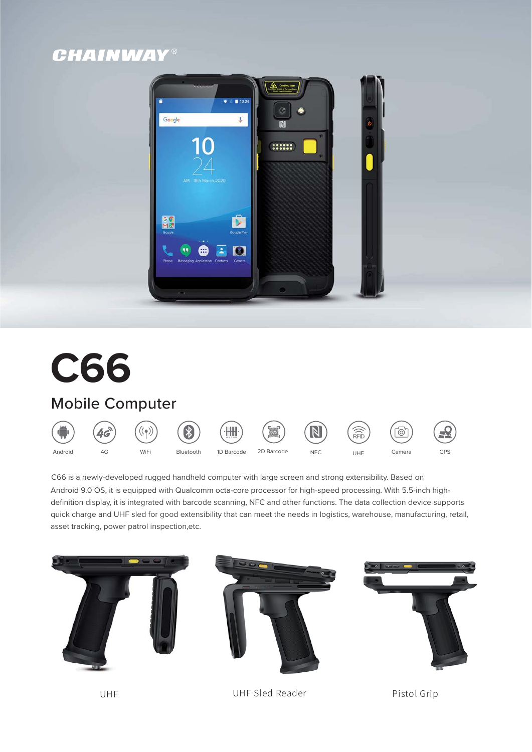# **CHAINWAY®**



# **C66**

# Mobile Computer



C66 is a newly-developed rugged handheld computer with large screen and strong extensibility. Based on Android 9.0 OS, it is equipped with Qualcomm octa-core processor for high-speed processing. With 5.5-inch high definition display, it is integrated with barcode scanning, NFC and other functions. The data collection device supports quick charge and UHF sled for good extensibility that can meet the needs in logistics, warehouse, manufacturing, retail, asset tracking, power patrol inspection,etc.



UHF 6)' 6) UHF Sled Reader CHF 6) Pistol Grip